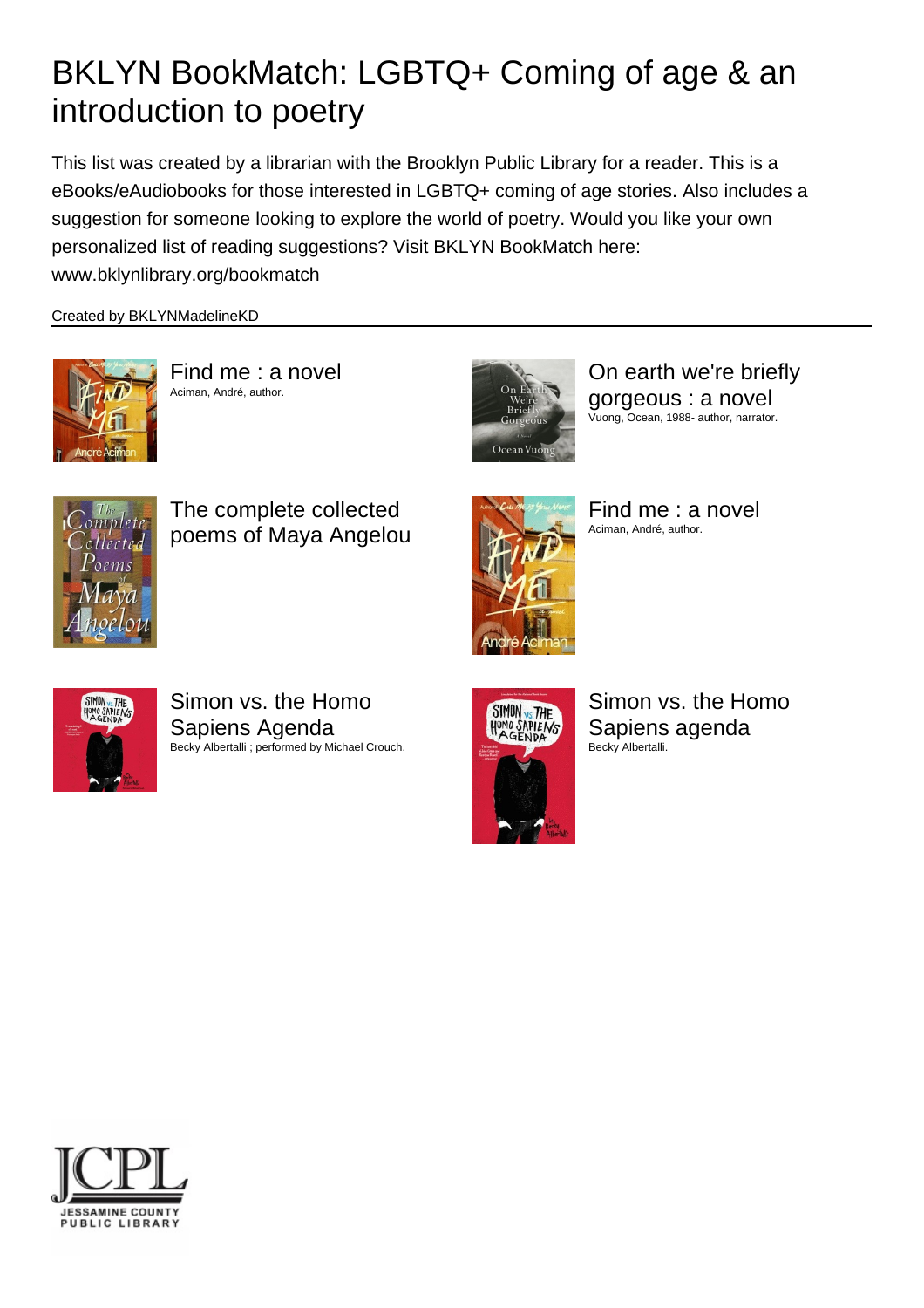## BKLYN BookMatch: LGBTQ+ Coming of age & an introduction to poetry

This list was created by a librarian with the Brooklyn Public Library for a reader. This is a eBooks/eAudiobooks for those interested in LGBTQ+ coming of age stories. Also includes a suggestion for someone looking to explore the world of poetry. Would you like your own personalized list of reading suggestions? Visit BKLYN BookMatch here: www.bklynlibrary.org/bookmatch

Created by BKLYNMadelineKD



Find me : a novel Aciman, André, author.



On earth we're briefly gorgeous : a novel Vuong, Ocean, 1988- author, narrator.



The complete collected poems of Maya Angelou



Find me : a novel Aciman, André, author.



Simon vs. the Homo Sapiens Agenda Becky Albertalli ; performed by Michael Crouch.



Simon vs. the Homo Sapiens agenda Becky Albertalli.